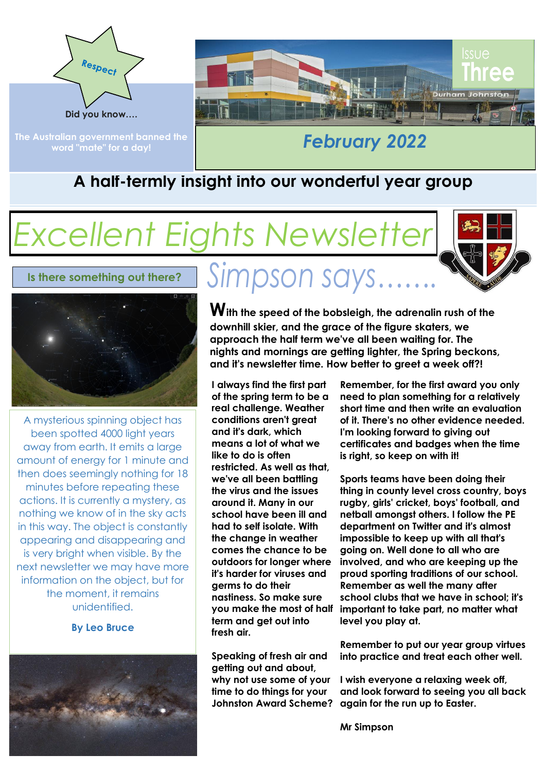

**The Australian government banned the word "mate" for a day!**



# *February 2022*

## **A half-termly insight into our wonderful year group**

# *Excellent Eights Newsletter*





**Is there something out there?**

A mysterious spinning object has been spotted 4000 light years away from earth. It emits a large amount of energy for 1 minute and then does seemingly nothing for 18 minutes before repeating these actions. It is currently a mystery, as nothing we know of in the sky acts in this way. The object is constantly appearing and disappearing and is very bright when visible. By the next newsletter we may have more information on the object, but for the moment, it remains unidentified.

**By Leo Bruce**



*Simpson says…….*

**With the speed of the bobsleigh, the adrenalin rush of the downhill skier, and the grace of the figure skaters, we approach the half term we've all been waiting for. The nights and mornings are getting lighter, the Spring beckons, and it's newsletter time. How better to greet a week off?!**

**I always find the first part of the spring term to be a real challenge. Weather conditions aren't great and it's dark, which means a lot of what we like to do is often restricted. As well as that, we've all been battling the virus and the issues around it. Many in our school have been ill and had to self isolate. With the change in weather comes the chance to be outdoors for longer where it's harder for viruses and germs to do their nastiness. So make sure you make the most of half term and get out into fresh air.**

**Speaking of fresh air and getting out and about, why not use some of your time to do things for your Johnston Award Scheme?** **Remember, for the first award you only need to plan something for a relatively short time and then write an evaluation of it. There's no other evidence needed. I'm looking forward to giving out certificates and badges when the time is right, so keep on with it!**

**Sports teams have been doing their thing in county level cross country, boys rugby, girls' cricket, boys' football, and netball amongst others. I follow the PE department on Twitter and it's almost impossible to keep up with all that's going on. Well done to all who are involved, and who are keeping up the proud sporting traditions of our school. Remember as well the many after school clubs that we have in school; it's important to take part, no matter what level you play at.**

**Remember to put our year group virtues into practice and treat each other well.**

**I wish everyone a relaxing week off, and look forward to seeing you all back again for the run up to Easter.**

**Mr Simpson**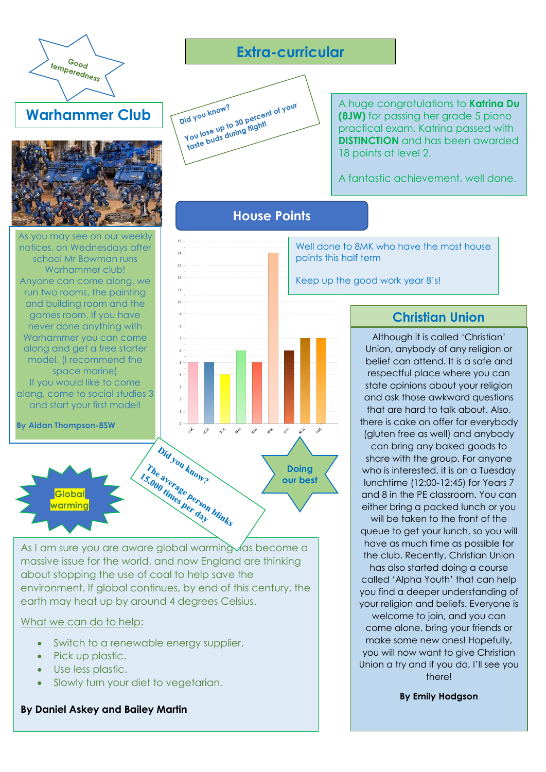

## **Warhammer Club**



As you may see on our weekly notices, on Wednesdays after school Mr Bowman runs Warhammer club! Anyone can come along, we run two rooms, the painting and building room and the games room. If you have never done anything with Warhammer you can come along and get a free starter model. (I recommend the space marine) If you would like to come along, come to social studies 3 and start your first model!

#### **By Aidan Thompson-8SW**

**Global warming**

## **Extra-curricular**



A huge congratulations to **Katrina Du (8JW)** for passing her grade 5 piano practical exam. Katrina passed with **DISTINCTION** and has been awarded 18 points at level 2.

A fantastic achievement, well done.

#### **House Points**

**Doing our best**

 $e^{\alpha x^k}$   $e^{\beta x^k}$   $e^{\alpha y^k}$ 

80A styl

**222 ONAT** 

40

Did you know?

The average person blinks The average person

Well done to 8MK who have the most house points this half term

Keep up the good work year 8's!

#### **Christian Union**

Although it is called 'Christian' Union, anybody of any religion or belief can attend. It is a safe and respectful place where you can state opinions about your religion and ask those awkward questions that are hard to talk about. Also, there is cake on offer for everybody (gluten free as well) and anybody can bring any baked goods to share with the group. For anyone who is interested, it is on a Tuesday lunchtime (12:00-12:45) for Years 7 and 8 in the PE classroom. You can either bring a packed lunch or you will be taken to the front of the queue to get your lunch, so you will have as much time as possible for the club. Recently, Christian Union has also started doing a course called 'Alpha Youth' that can help you find a deeper understanding of your religion and beliefs. Everyone is welcome to join, and you can come alone, bring your friends or make some new ones! Hopefully, you will now want to give Christian Union a try and if you do, I'll see you there!

**By Emily Hodgson**

As I am sure you are aware alobal warming has become a massive issue for the world, and now England are thinking about stopping the use of coal to help save the environment. If global continues, by end of this century, the earth may heat up by around 4 degrees Celsius.

 $15$  $14$  $\frac{13}{2}$  $12$  $\overline{11}$  $10^{-1}$ 

#### What we can do to help:

- Switch to a renewable energy supplier.
- Pick up plastic.
- Use less plastic.
- Slowly turn your diet to vegetarian.

**By Daniel Askey and Bailey Martin**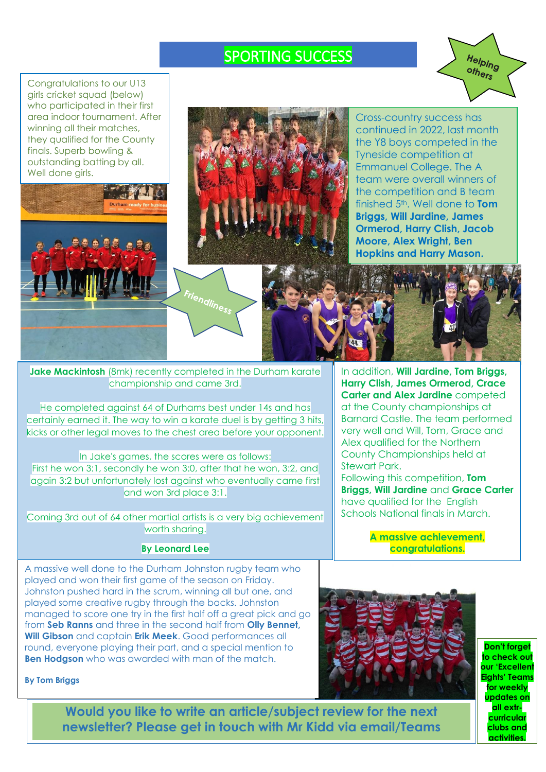### SPORTING SUCCESS

Congratulations to our U13 girls cricket squad (below) who participated in their first area indoor tournament. After winning all their matches, they qualified for the County finals. Superb bowling & outstanding batting by all. Well done girls.







Cross-country success has continued in 2022, last month the Y8 boys competed in the Tyneside competition at Emmanuel College. The A team were overall winners of the competition and B team finished 5th. Well done to **Tom Briggs, Will Jardine, James Ormerod, Harry Clish, Jacob Moore, Alex Wright, Ben Hopkins and Harry Mason.**

 $H_{\text{elping}}$ others

**Jake Mackintosh** (8mk) recently completed in the Durham karate championship and came 3rd.

Friendliness

He completed against 64 of Durhams best under 14s and has certainly earned it. The way to win a karate duel is by getting 3 hits, kicks or other legal moves to the chest area before your opponent.

In Jake's games, the scores were as follows: First he won 3:1, secondly he won 3:0, after that he won, 3:2, and again 3:2 but unfortunately lost against who eventually came first and won 3rd place 3:1.

Coming 3rd out of 64 other martial artists is a very big achievement worth sharing.

#### **By Leonard Lee**

A massive well done to the Durham Johnston rugby team who played and won their first game of the season on Friday. Johnston pushed hard in the scrum, winning all but one, and played some creative rugby through the backs. Johnston managed to score one try in the first half off a great pick and go from **Seb Ranns** and three in the second half from **Olly Bennet, Will Gibson** and captain **Erik Meek**. Good performances all round, everyone playing their part, and a special mention to **Ben Hodgson** who was awarded with man of the match.

Schools National finals in March. **A massive achievement, congratulations.**

Following this competition, **Tom Briggs, Will Jardine** and **Grace Carter**

have qualified for the English

In addition, **Will Jardine, Tom Briggs, Harry Clish, James Ormerod, Crace Carter and Alex Jardine** competed at the County championships at Barnard Castle. The team performed very well and Will, Tom, Grace and Alex qualified for the Northern County Championships held at



Stewart Park.

**Don't forget to check out our 'Excellent Eights' Teams for weekly updates on all extrcurricular clubs and activities.**

**Would you like to write an article/subject review for the next newsletter? Please get in touch with Mr Kidd via email/Teams**

**By Tom Briggs**